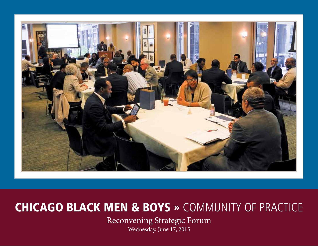

## Chicago Black Men & Boys » Community of Practice

Reconvening Strategic Forum

Wednesday, June 17, 2015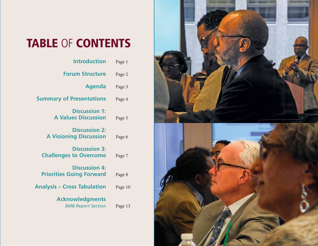# TABLE OF CONTENTS

| <b>Introduction</b>                                     | Page 1  |
|---------------------------------------------------------|---------|
| <b>Forum Structure</b>                                  | Page 2  |
| <b>Agenda</b>                                           | Page 3  |
| <b>Summary of Presentations</b>                         | Page 4  |
| <b>Discussion 1:</b><br><b>A Values Discussion</b>      | Page 5  |
| <b>Discussion 2:</b><br><b>A Visioning Discussion</b>   | Page 6  |
| <b>Discussion 3:</b><br><b>Challenges to Overcome</b>   | Page 7  |
| <b>Discussion 4:</b><br><b>Priorities Going Forward</b> | Page 8  |
| <b>Analysis – Cross Tabulation</b>                      | Page 10 |
| <b>Acknowledgments</b><br><b>BMB Report Section</b>     | Page 13 |

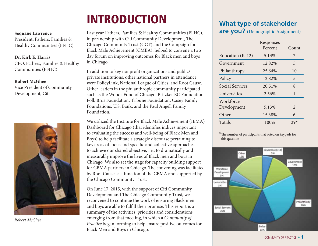## **INTRODUCTION**

#### **Sequane Lawrence**

President, Fathers, Families & Healthy Communities (FFHC)

#### **Dr. Kirk E. Harris**

CEO, Fathers, Families & Healthy Communities (FFHC)

#### **Robert McGhee**

Vice President of Community Development, Citi



*Robert McGhee*

Last year Fathers, Families & Healthy Communities (FFHC), in partnership with Citi Community Development, The Chicago Community Trust (CCT) and the Campaign for Black Male Achievement (CMBA), helped to convene a two day forum on improving outcomes for Black men and boys in Chicago.

In addition to key nonprofit organizations and public/ private institutions, other national partners in attendance were PolicyLink, National League of Cities, and Root Cause. Other leaders in the philanthropic community participated such as the Woods Fund of Chicago, Pritzker EC Foundation, Polk Bros Foundation, Tribune Foundation, Casey Family Foundations, U.S. Bank, and the Paul Angell Family Foundation.

We utilized the Institute for Black Male Achievement (IBMA) Dashboard for Chicago (that identifies indices important to evaluating the success and well-being of Black Men and Boys) to help facilitate a strategic discourse pertaining to key areas of focus and specific and collective approaches to achieve our shared objective, i.e., to dramatically and measurably improve the lives of Black men and boys in Chicago. We also set the stage for capacity building support for CBMA partners in Chicago. The convening was facilitated by Root Cause as a function of the CBMA and supported by the Chicago Community Trust.

On June 17, 2015, with the support of Citi Community Development and The Chicago Community Trust, we reconvened to continue the work of ensuring Black men and boys are able to fulfill their promise. This report is a summary of the activities, priorities and considerations emerging from that meeting, in which a *Community of Practice* began forming to help ensure positive outcomes for Black Men and Boys in Chicago.

## **What type of stakeholder**

**are you?** (Demographic Assignment)

|                          | Responses<br>Percent | Count          |
|--------------------------|----------------------|----------------|
| Education (K-12)         | 5.13%                | $\overline{2}$ |
| Government               | 12.82%               | 5              |
| Philanthropy             | 25.64%               | 10             |
| Policy                   | 12.82%               | 5              |
| <b>Social Services</b>   | 20.51%               | 8              |
| Universities             | 2.56%                | 1              |
| Workforce<br>Development | 5.13%                | $\overline{2}$ |
| Other                    | 15.38%               | 6              |
| Totals                   | 100%                 | $39*$          |

\*The number of participants that voted on keypads for this question



Community of Practice » 1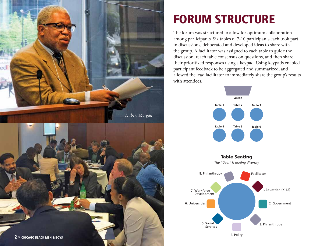

# **FORUM STRUCTURE**

The forum was structured to allow for optimum collaboration among participants. Six tables of 7-10 participants each took part in discussions, deliberated and developed ideas to share with the group. A facilitator was assigned to each table to guide the discussion, reach table consensus on questions, and then share their prioritized responses using a keypad. Using keypads enabled participant feedback to be aggregated and summarized, and allowed the lead facilitator to immediately share the group's results with attendees.





*The "Goal" is seating diversity*

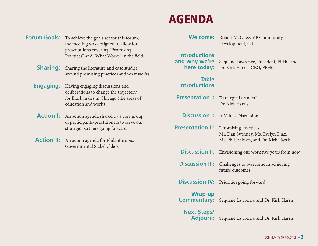### **Welcome:** Robert McGhee, VP Community Development, Citi **Introductions and why we're** Sequane Lawrence, President, FFHC and **here today:** Dr. Kirk Harris, CEO, FFHC **Table Introductions Presentation I:** "Strategic Partners" Dr. Kirk Harris **Discussion I:** A Values Discussion **Presentation II:** "Promising Practices" Mr. Dan Swinney, Ms. Evelyn Diaz, Mr. Phil Jackson, and Dr. Kirk Harris **Discussion II:** Envisioning our work five years from now **Discussion III:** Challenges to overcome in achieving future outcomes **Discussion IV:** Priorities going forward **Wrap-up Commentary:** Sequane Lawrence and Dr. Kirk Harris **Next Steps/ Adjourn:** Sequane Lawrence and Dr. Kirk Harris

#### Community of Practice » 3

**Forum Goals:** To achieve the goals set for this forum, the meeting was designed to allow for presentations covering "Promising Practices" and "What Works" in the field.

**Sharing:** Sharing the literature and case studies around promising practices and what works

**Engaging:** Having engaging discussions and deliberations to change the trajectory for Black males in Chicago (the areas of education and work)

**Action I:** An action agenda shared by a core group of participants/practitioners to serve our strategic partners going forward

**Action II:** An action agenda for Philanthropic/ Governmental Stakeholders

## **AGENDA**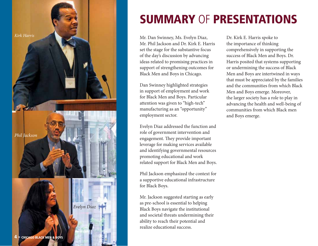

## Summary of Presentations

Mr. Dan Swinney, Ms. Evelyn Diaz, Mr. Phil Jackson and Dr. Kirk E. Harris set the stage for the substantive focus of the day's discussion by advancing ideas related to promising practices in support of strengthening outcomes for Black Men and Boys in Chicago.

Dan Swinney highlighted strategies in support of employment and work for Black Men and Boys. Particular attention was given to "high-tech" manufacturing as an "opportunity" employment sector.

Evelyn Diaz addressed the function and role of government intervention and engagement. They provide important leverage for making services available and identifying governmental resources promoting educational and work related support for Black Men and Boys.

Phil Jackson emphasized the context for a supportive educational infrastructure for Black Boys.

Mr. Jackson suggested starting as early as pre-school is essential to helping Black Boys navigate the institutional and societal threats undermining their ability to reach their potential and realize educational success.

Dr. Kirk E. Harris spoke to the importance of thinking comprehensively in supporting the success of Black Men and Boys. Dr. Harris posited that systems supporting or undermining the success of Black Men and Boys are intertwined in ways that must be appreciated by the families and the communities from which Black Men and Boys emerge. Moreover, the larger society has a role to play in advancing the health and well-being of communities from which Black men and Boys emerge.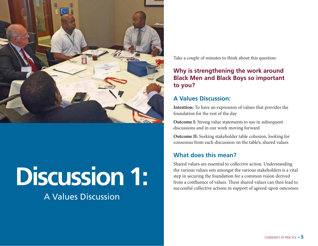

# FRONT SUN SERIES AND THE VALUES OF THE VALUES OF THE VALUES OF THE VALUES OF THE VALUES OF THE VALUES OF THE VALUES OF THE VALUES OF THE VALUES OF THE VALUES OF THE VALUES OF THE VALUES OF THE VALUES OF THE VALUES OF THE V

### A Values Discussion

Take a couple of minutes to think about this question:

#### **Why is strengthening the work around Black Men and Black Boys so important to you?**

#### **A Values Discussion:**

**Intention:** To have an expression of values that provides the foundation for the rest of the day

**Outcome I:** Strong value statements to use in subsequent discussions and in our work moving forward

**Outcome II:** Seeking stakeholder table cohesion, looking for consensus from each discussion on the table's, shared values

#### **What does this mean?**

Shared values are essential to collective action. Understanding the various values sets amongst the various stakeholders is a vital step in securing the foundation for a common vision derived successful collective actions in support of agreed-upon outcomes.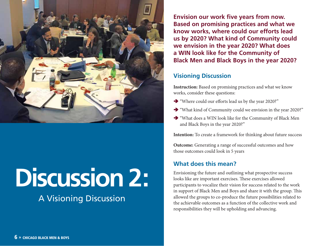

# **Discussion 2:**

## A Visioning Discussion

**Envision our work five years from now. Based on promising practices and what we know works, where could our efforts lead us by 2020? What kind of Community could we envision in the year 2020? What does a WIN look like for the Community of Black Men and Black Boys in the year 2020?**

#### **Visioning Discussion**

**Instruction:** Based on promising practices and what we know works, consider these questions:

- "Where could our efforts lead us by the year 2020?"
- "What kind of Community could we envision in the year 2020?"
- "What does a WIN look like for the Community of Black Men and Black Boys in the year 2020?"

**Intention:** To create a framework for thinking about future success

**Outcome:** Generating a range of successful outcomes and how those outcomes could look in 5 years

#### **What does this mean?**

Envisioning the future and outlining what prospective success looks like are important exercises. These exercises allowed participants to vocalize their vision for success related to the work in support of Black Men and Boys and share it with the group. This allowed the groups to co-produce the future possibilities related to the achievable outcomes as a function of the collective work and responsibilities they will be upholding and advancing.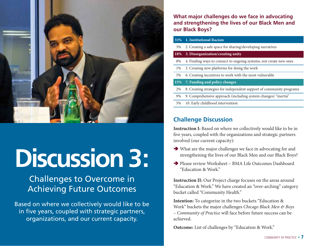

# **Discussion 3:**

## Challenges to Overcome in Achieving Future Outcomes

Based on where we collectively would like to be in five years, coupled with strategic partners, organizations, and our current capacity.

**What major challenges do we face in advocating and strengthening the lives of our Black Men and our Black Boys?**

| 33%   | 1. Institutional Racism                                              |
|-------|----------------------------------------------------------------------|
| 3%    | 2. Creating a safe space for sharing/developing narratives           |
| 18%   | 3. Disorganization/creating unity                                    |
| 8%    | 4. Finding ways to connect to ongoing systems, not create new ones   |
| $1\%$ | 5. Creating new platforms for doing the work                         |
| 5%    | 6. Creating incentives to work with the most vulnerable              |
| 15%   | 7. Funding and policy changes                                        |
| 2%    | 8. Creating strategies for independent support of community programs |
| 9%    | 9. Comprehensive approach (including system changes) "inertia"       |
| 5%    |                                                                      |
|       | 10. Early childhood intervention                                     |

#### **Challenge Discussion**

**Instruction I:** Based on where we collectively would like to be in five years, coupled with the organizations and strategic partners involved (our current capacity):

- What are the major challenges we face in advocating for and strengthening the lives of our Black Men and our Black Boys?
- Please review Worksheet BMA Life Outcomes Dashboard "Education & Work."

**Instruction II:** Our Project charge focuses on the areas around "Education & Work." We have created an "over-arching" category bucket called "Community Health."

**Intention:** To categorize in the two buckets "Education & Work" buckets the major challenges *Chicago Black Men & Boys – Community of Practice* will face before future success can be achieved.

**Outcome:** List of challenges by "Education & Work."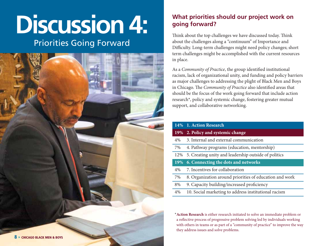# **Discussion 4:**

### Priorities Going Forward



#### **What priorities should our project work on going forward?**

Think about the top challenges we have discussed today. Think about the challenges along a "continuum" of Importance and Difficulty. Long-term challenges might need policy changes; short term challenges might be accomplished with the current resources in place.

As a *Community of Practice*, the group identified institutional racism, lack of organizational unity, and funding and policy barriers as major challenges to addressing the plight of Black Men and Boys in Chicago. The *Community of Practice* also identified areas that should be the focus of the work going forward that include action research\*, policy and systemic change, fostering greater mutual support, and collaborative networking.

|     | 14% 1. Action Research                                  |
|-----|---------------------------------------------------------|
| 19% | 2. Policy and systemic change                           |
| 4%  | 3. Internal and external communication                  |
| 7%  | 4. Pathway programs (education, mentorship)             |
| 12% | 5. Creating unity and leadership outside of politics    |
| 19% | <b>6. Connecting the dots and networks</b>              |
| 4%  | 7. Incentives for collaboration                         |
| 7%  | 8. Organization around priorities of education and work |
| 8%  | 9. Capacity building/increased proficiency              |
| 4%  | 10. Social marketing to address institutional racism    |

\***Action Research** is either research initiated to solve an immediate problem or a reflective process of progressive problem solving led by individuals working with others in teams or as part of a "community of practice" to improve the way they address issues and solve problems.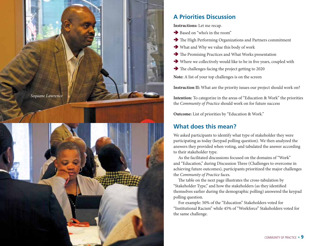

#### **A Priorities Discussion**

**Instructions:** Let me recap.

- Based on "who's in the room"
- The High Performing Organizations and Partners commitment
- What and Why we value this body of work
- The Promising Practices and What Works presentation
- Where we collectively would like to be in five years, coupled with
- The challenges facing the project getting to 2020

**Note:** A list of your top challenges is on the screen

**Instruction II:** What are the priority issues our project should work on?

**Intention:** To categorize in the areas of "Education & Work" the priorities the *Community of Practice* should work on for future success

**Outcome:** List of priorities by "Education & Work."

#### **What does this mean?**

We asked participants to identify what type of stakeholder they were participating as today (keypad polling question). We then analyzed the answers they provided when voting, and tabulated the answer according to their stakeholder type.

As the facilitated discussions focused on the domains of "Work" and "Education," during Discussion Three (Challenges to overcome in achieving future outcomes), participants prioritized the major challenges the *Community of Practice* faces.

The table on the next page illustrates the cross-tabulation by "Stakeholder Type," and how the stakeholders (as they identified themselves earlier during the demographic polling) answered the keypad polling question.

For example: 50% of the "Education" Stakeholders voted for "Institutional Racism" while 45% of "Workforce" Stakeholders voted for the same challenge.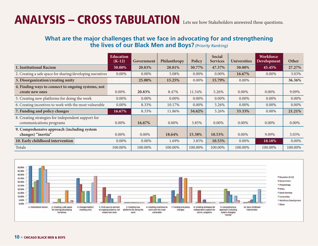## ANALYSIS – CROSS TABULATION Lets see how Stakeholders answered these questions.

#### **What are the major challenges that we face in advocating for and strengthening the lives of our Black Men and Boys?** *(Priority Ranking)*

|                                                                               | <b>Education</b><br>$(K-12)$ | Government | Philanthropy | Policy  | Social<br><b>Services</b> | <b>Universities</b> | <b>Workforce</b><br>Development | Other    |
|-------------------------------------------------------------------------------|------------------------------|------------|--------------|---------|---------------------------|---------------------|---------------------------------|----------|
| 1. Institutional Racism                                                       | 50.00%                       | 20.83%     | 28.81%       | 30.77%  | 47.37%                    | 50.00%              | 45.45%                          | 27.27%   |
| 2. Creating a safe space for sharing/developing narratives                    | $0.00\%$                     | $0.00\%$   | 5.08%        | 0.00%   | $0.00\%$                  | 16.67%              | $0.00\%$                        | 3.03%    |
| 3. Disorganization/creating unity                                             |                              | 25.00%     | 15.25%       | 0.00%   | 15.79%                    | $0.00\%$            |                                 | 36.36%   |
| 4. Finding ways to connect to ongoing systems, not<br>create new ones         | $0.00\%$                     | 20.83%     | 8.47%        | 11.54%  | 5.26%                     | 0.00%               | $0.00\%$                        | 9.09%    |
| 5. Creating new platforms for doing the work                                  | $0.00\%$                     | $0.00\%$   | $0.00\%$     | 0.00%   | $0.00\%$                  | $0.00\%$            | $0.00\%$                        | $0.00\%$ |
| 6. Creating incentives to work with the most vulnerable                       | $0.00\%$                     | 8.33%      | 10.17%       | 0.00%   | 5.26%                     | 0.00%               | $0.00\%$                        | 0.00%    |
| 7. Funding and policy changes                                                 | 16.67%                       | 8.33%      | 11.86%       | 34.62%  | 5.26%                     | 33.33%              | $0.00\%$                        | 21.21%   |
| 8. Creating strategies for independent support for<br>communications programs | $0.00\%$                     | 16.67%     | $0.00\%$     | 3.85%   | $0.00\%$                  | $0.00\%$            | $0.00\%$                        | $0.00\%$ |
| 9. Comprehensive approach (including system<br>changes) "inertia"             | $0.00\%$                     | $0.00\%$   | 18.64%       | 15.38%  | 10.53%                    | $0.00\%$            | 9.09%                           | 3.03%    |
| 10. Early childhood intervention                                              | $0.00\%$                     | 0.00%      | 1.69%        | 3.85%   | 10.53%                    | 0.00%               | 18.18%                          | 0.00%    |
| Totals                                                                        | 100.00%                      | 100.00%    | 100.00%      | 100.00% | 100.00%                   | 100.00%             | 100.00%                         | 100.00%  |

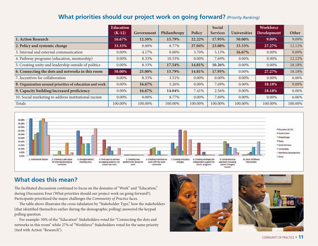#### **What priorities should our project work on going forward?** *(Priority Ranking)*

|                                                         | <b>Education</b> |            |              |          | Social          |                     | <b>Workforce</b> |          |
|---------------------------------------------------------|------------------|------------|--------------|----------|-----------------|---------------------|------------------|----------|
|                                                         | $(K-12)$         | Government | Philanthropy | Policy   | <b>Services</b> | <b>Universities</b> | Development      | Other    |
| 1. Action Research                                      | 16.67%           | 12.50%     | 15.79%       | 22.22%   | 17.95%          | 50.00%              | 9.09%            | 9.09%    |
| 2. Policy and systemic change                           | 33.33%           | $0.00\%$   | 8.77%        | 37.04%   | 23.08%          | 33.33%              | 27.27%           | 12.12%   |
| 3. Internal and external communication                  | $0.00\%$         | 4.17%      | $0.00\%$     | 3.70%    | 5.13%           | 16.67%              | $0.00\%$         | 9.09%    |
| 4. Pathway programs (education, mentorship)             | $0.00\%$         | 8.33%      | 10.53%       | $0.00\%$ | 7.69%           | $0.00\%$            | $0.00\%$         | 12.12%   |
| 5. Creating unity and leadership outside of politics    | $0.00\%$         | 8.33%      | 17.54%       | 14.81%   | 10.26%          | 0.00%               | $0.00\%$         | 18.18%   |
| 6. Connecting the dots and networks in this room        | 50.00%           | 25.00%     | 15.79%       | 14.81%   | 17.95%          | $0.00\%$            | 27.27%           | 18.18%   |
| 7. Incentives for collaboration                         | $0.00\%$         | 8.33%      | 3.51%        | 0.00%    | $0.00\%$        | 0.00%               | $0.00\%$         | 6.06%    |
| 8. Organization around priorities of education and work | 0.00%            | 16.67%     | 5.26%        | $0.00\%$ | 7.69%           | 0.00%               | 18.18%           | 9.09%    |
| 9. Capacity building/increased proficiency              | $0.00\%$         | 16.67%     | 14.04%       | 7.41%    | 2.56%           | $0.00\%$            | 18.18%           | $0.00\%$ |
| 10. Social marketing to address institutional racism    | $0.00\%$         | $0.00\%$   | 8.77%        | $0.00\%$ | 7.69%           | $0.00\%$            | $0.00\%$         | 6.06%    |
| Totals                                                  | 100.00%          | 100.00%    | 100.00%      | 100.00%  | 100.00%         | 100.00%             | 100.00%          | 100.00%  |



#### **What does this mean?**

The facilitated discussions continued to focus on the domains of "Work" and "Education," during Discussion Four (What priorities should our project work on going forward?). Participants prioritized the major challenges the *Community of Practice* faces.

The table above illustrates the cross-tabulation by "Stakeholder Type," how the stakeholders (that identified themselves earlier during the demographic polling) answered the keypad polling question.

For example: 50% of the "Education" Stakeholders voted for "Connecting the dots and networks in this room" while 27% of "Workforce" Stakeholders voted for the same priority (tied with Action "Research").



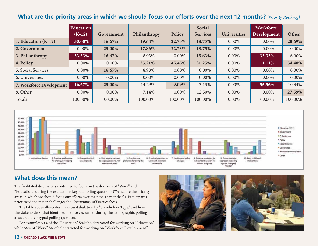#### **What are the priority areas in which we should focus our efforts over the next 12 months?** *(Priority Ranking)*

|                          | <b>Education</b> |            |              |          | Social          |                     | <b>Workforce</b> |          |
|--------------------------|------------------|------------|--------------|----------|-----------------|---------------------|------------------|----------|
|                          | $(K-12)$         | Government | Philanthropy | Policy   | <b>Services</b> | <b>Universities</b> | Development      | Other    |
| 1. Education $(K-12)$    | 50.00%           | 16.67%     | 19.64%       | 22.73%   | 18.75%          | $0.00\%$            | 0.00%            | 20.69%   |
| 2. Government            | $0.00\%$         | 25.00%     | 17.86%       | 22.73%   | 18.75%          | $0.00\%$            | 0.00%            | $0.00\%$ |
| 3. Philanthropy          | 33.33%           | 16.67%     | 8.93%        | $0.00\%$ | 15.63%          | $0.00\%$            | 33.33%           | 6.90%    |
| 4. Policy                | $0.00\%$         | $0.00\%$   | 23.21%       | 45.45%   | 31.25%          | 0.00%               | 11.11%           | 34.48%   |
| 5. Social Services       | $0.00\%$         | 16.67%     | 8.93%        | 0.00%    | 0.00%           | 0.00%               | $0.00\%$         | $0.00\%$ |
| 6. Universities          | $0.00\%$         | 0.00%      | $0.00\%$     | $0.00\%$ | 0.00%           | $0.00\%$            | 0.00%            | $0.00\%$ |
| 7. Workforce Development | 16.67%           | 25.00%     | 14.29%       | 9.09%    | 3.13%           | 0.00%               | 55.56%           | 10.34%   |
| 8. Other                 | $0.00\%$         | 0.00%      | 7.14%        | 0.00%    | 12.50%          | $0.00\%$            | $0.00\%$         | 27.59%   |
| Totals                   | 100.00%          | 100.00%    | 100.00%      | 100.00%  | 100.00%         | 0.00%               | 100.00%          | 100.00%  |



#### **What does this mean?**

The facilitated discussions continued to focus on the domains of "Work" and "Education," during the evaluations keypad polling questions ("What are the priority areas in which we should focus our efforts over the next 12 months?"). Participants prioritized the major challenges the *Community of Practice* faces.

The table above illustrates the cross-tabulation by "Stakeholder Type," and how the stakeholders (that identified themselves earlier during the demographic polling) answered the keypad polling question.

For example: 50% of the "Education" Stakeholders voted for working on "Education" while 56% of "Work" Stakeholders voted for working on "Workforce Development."





#### 12 » CHICAGO BLACK MEN & BOYS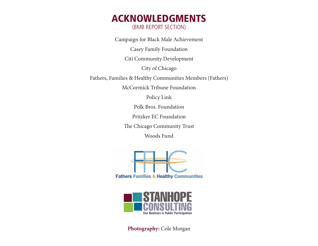### Acknowledgments (bMB Report Section)

Campaign for Black Male Achievement Casey Family Foundation Citi Community Development City of Chicago Fathers, Families & Healthy Communities Members (Fathers) McCormick Tribune Foundation Policy Link Polk Bros. Foundation Pritzker EC Foundation

The Chicago Community Trust

Woods Fund





**Photography:** Cole Morgan